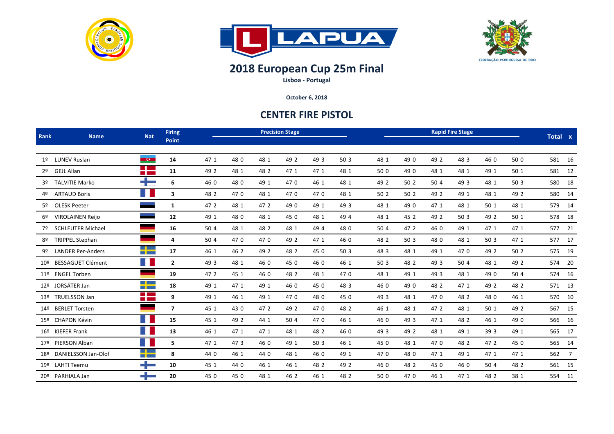





## **2018 European Cup 25m Final**

**Lisboa ‐ Portugal**

**October 6, 2018**

## **CENTER FIRE PISTOL**

| Rank           | <b>Name</b>              | <b>Nat</b>                                      | <b>Firing</b><br>Point | <b>Precision Stage</b> |      |      |      |      |      |                 | Total x |      |      |      |      |        |    |
|----------------|--------------------------|-------------------------------------------------|------------------------|------------------------|------|------|------|------|------|-----------------|---------|------|------|------|------|--------|----|
| 1 <sup>o</sup> | <b>LUNEV Ruslan</b>      | <b>CO</b>                                       | 14                     | 47 1                   | 48 0 | 48 1 | 49 2 | 49 3 | 50 3 | 48 1            | 49 0    | 49 2 | 48 3 | 46 0 | 50 0 | 581 16 |    |
| 2º             | GEJL Allan               | <b>Contract</b><br><b>Contract</b>              | 11                     | 49 2                   | 48 1 | 48 2 | 47 1 | 47 1 | 48 1 | 50 0            | 49 0    | 48 1 | 48 1 | 49 1 | 50 1 | 581 12 |    |
| 3 <sup>o</sup> | <b>TALVITIE Marko</b>    | ÷                                               | 6                      | 46 0                   | 48 0 | 49 1 | 470  | 46 1 | 48 1 | 49 2            | 50 2    | 50 4 | 49 3 | 48 1 | 50 3 | 580 18 |    |
| 4º             | <b>ARTAUD Boris</b>      | ш                                               | 3                      | 48 2                   | 470  | 48 1 | 470  | 470  | 48 1 | 50 2            | 50 2    | 49 2 | 49 1 | 48 1 | 49 2 | 580 14 |    |
| 5º             | <b>OLESK Peeter</b>      |                                                 | $\mathbf{1}$           | 47 2                   | 48 1 | 47 2 | 49 0 | 49 1 | 49 3 | 48 1            | 49 0    | 47 1 | 48 1 | 50 1 | 48 1 | 579 14 |    |
|                | <b>VIROLAINEN Reijo</b>  |                                                 | 12                     | 49 1                   | 48 0 | 48 1 | 45 0 | 48 1 | 49 4 | 48 1            | 45 2    | 49 2 | 50 3 | 49 2 | 50 1 | 578    | 18 |
| 7º             | <b>SCHLEUTER Michael</b> |                                                 | 16                     | 50 4                   | 48 1 | 48 2 | 48 1 | 49 4 | 48 0 | 50 4            | 47 2    | 46 0 | 49 1 | 47 1 | 47 1 | 577 21 |    |
| 8º             | <b>TRIPPEL Stephan</b>   |                                                 | 4                      | 50 4                   | 470  | 470  | 49 2 | 47 1 | 46 0 | 48 2            | 50 3    | 48 0 | 48 1 | 50 3 | 47 1 | 577 17 |    |
| 9º             | <b>LANDER Per-Anders</b> | <u>a sa Basa</u>                                | 17                     | 46 1                   | 46 2 | 49 2 | 48 2 | 45 0 | 50 3 | 48 3            | 48 1    | 49 1 | 470  | 49 2 | 50 2 | 575 19 |    |
| $10^{9}$       | <b>BESSAGUET Clément</b> | ш                                               | $\mathbf{2}$           | 49 3                   | 48 1 | 46 0 | 45 0 | 46 0 | 46 1 | 50 <sub>3</sub> | 48 2    | 49 3 | 50 4 | 48 1 | 49 2 | 574 20 |    |
|                | 11º ENGEL Torben         |                                                 | 19                     | 47 2                   | 45 1 | 46 0 | 48 2 | 48 1 | 470  | 48 1            | 49 1    | 49 3 | 48 1 | 49 0 | 50 4 | 574 16 |    |
|                | 12º JORSÄTER Jan         | <u>a sa Basa</u><br><b>TELEVISION</b>           | 18                     | 49 1                   | 47 1 | 49 1 | 46 0 | 45 0 | 48 3 | 46 0            | 49 0    | 48 2 | 47 1 | 49 2 | 48 2 | 571 13 |    |
|                | 13º TRUELSSON Jan        | <b>The Company</b><br><b>CONTRACTOR</b>         | 9                      | 49 1                   | 46 1 | 49 1 | 470  | 48 0 | 45 0 | 49 3            | 48 1    | 470  | 48 2 | 48 0 | 46 1 | 570 10 |    |
| 14º            | <b>BERLET Torsten</b>    |                                                 | $\overline{7}$         | 45 1                   | 43 0 | 47 2 | 49 2 | 470  | 48 2 | 46 1            | 48 1    | 47 2 | 48 1 | 50 1 | 49 2 | 567 15 |    |
|                | 15º CHAPON Kévin         |                                                 | 15                     | 45 1                   | 49 2 | 44 1 | 50 4 | 470  | 46 1 | 46 0            | 49 3    | 47 1 | 48 2 | 46 1 | 49 0 | 566 16 |    |
|                | 16º KIEFER Frank         | a.                                              | 13                     | 46 1                   | 47 1 | 47 1 | 48 1 | 48 2 | 46 0 | 49 3            | 49 2    | 48 1 | 49 1 | 39 3 | 49 1 | 565 17 |    |
|                | 17º PIERSON Alban        | n.                                              | 5                      | 47 1                   | 473  | 46 0 | 49 1 | 50 3 | 46 1 | 45 0            | 48 1    | 470  | 48 2 | 47 2 | 45 0 | 565 14 |    |
| 18º            | DANIELSSON Jan-Olof      | <u>a sa Basa</u><br><b>The Contract Service</b> | 8                      | 44 0                   | 46 1 | 44 0 | 48 1 | 46 0 | 49 1 | 470             | 48 0    | 47 1 | 49 1 | 47 1 | 47 1 | 562 7  |    |
|                | 19º LAHTI Teemu          | ┶                                               | 10                     | 45 1                   | 44 0 | 46 1 | 46 1 | 48 2 | 49 2 | 46 0            | 48 2    | 45 0 | 46 0 | 50 4 | 48 2 | 561 15 |    |
| 20º            | PARHIALA Jan             | ╋                                               | 20                     | 45 0                   | 45 0 | 48 1 | 46 2 | 46 1 | 48 2 | 50 0            | 470     | 46 1 | 47 1 | 48 2 | 38 1 | 554    | 11 |